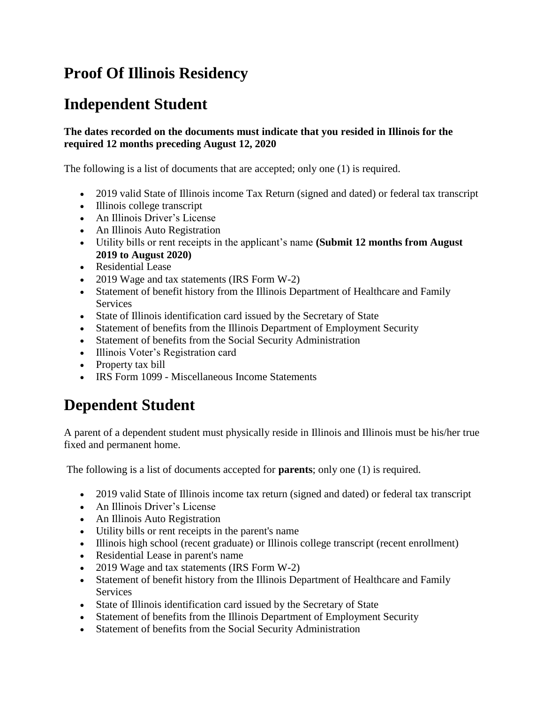## **Proof Of Illinois Residency**

## **Independent Student**

## **The dates recorded on the documents must indicate that you resided in Illinois for the required 12 months preceding August 12, 2020**

The following is a list of documents that are accepted; only one (1) is required.

- 2019 valid State of Illinois income Tax Return (signed and dated) or federal tax transcript
- Illinois college transcript
- An Illinois Driver's License
- An Illinois Auto Registration
- Utility bills or rent receipts in the applicant's name **(Submit 12 months from August 2019 to August 2020)**
- Residential Lease
- 2019 Wage and tax statements (IRS Form W-2)
- Statement of benefit history from the Illinois Department of Healthcare and Family **Services**
- State of Illinois identification card issued by the Secretary of State
- Statement of benefits from the Illinois Department of Employment Security
- Statement of benefits from the Social Security Administration
- Illinois Voter's Registration card
- Property tax bill
- IRS Form 1099 Miscellaneous Income Statements

## **Dependent Student**

A parent of a dependent student must physically reside in Illinois and Illinois must be his/her true fixed and permanent home.

The following is a list of documents accepted for **parents**; only one (1) is required.

- 2019 valid State of Illinois income tax return (signed and dated) or federal tax transcript
- An Illinois Driver's License
- An Illinois Auto Registration
- Utility bills or rent receipts in the parent's name
- Illinois high school (recent graduate) or Illinois college transcript (recent enrollment)
- Residential Lease in parent's name
- 2019 Wage and tax statements (IRS Form W-2)
- Statement of benefit history from the Illinois Department of Healthcare and Family **Services**
- State of Illinois identification card issued by the Secretary of State
- Statement of benefits from the Illinois Department of Employment Security
- Statement of benefits from the Social Security Administration